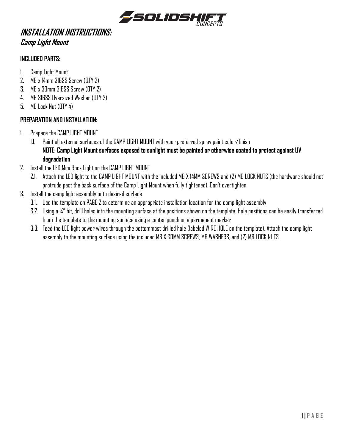

# **INSTALLATION INSTRUCTIONS: Camp Light Mount**

#### **INCLUDED PARTS:**

- 1. Camp Light Mount
- 2. M6 x 14mm 316SS Screw (QTY 2)
- 3. M6 x 30mm 316SS Screw (QTY 2)
- 4. M6 316SS Oversized Washer (QTY 2)
- 5. M6 Lock Nut (QTY 4)

### **PREPARATION AND INSTALLATION:**

- 1. Prepare the CAMP LIGHT MOUNT
	- 1.1. Paint all external surfaces of the CAMP LIGHT MOUNT with your preferred spray paint color/finish **NOTE: Camp Light Mount surfaces exposed to sunlight must be painted or otherwise coated to protect against UV degradation**
- 2. Install the LED Mini Rock Light on the CAMP LIGHT MOUNT
	- 2.1. Attach the LED light to the CAMP LIGHT MOUNT with the included M6 X 14MM SCREWS and (2) M6 LOCK NUTS (the hardware should not protrude past the back surface of the Camp Light Mount when fully tightened). Don't overtighten.
- 3. Install the camp light assembly onto desired surface
	- 3.1. Use the template on PAGE 2 to determine an appropriate installation location for the camp light assembly
	- 3.2. Using a ¼" bit, drill holes into the mounting surface at the positions shown on the template. Hole positions can be easily transferred from the template to the mounting surface using a center punch or a permanent marker
	- 3.3. Feed the LED light power wires through the bottommost drilled hole (labeled WIRE HOLE on the template). Attach the camp light assembly to the mounting surface using the included M6 X 30MM SCREWS, M6 WASHERS, and (2) M6 LOCK NUTS